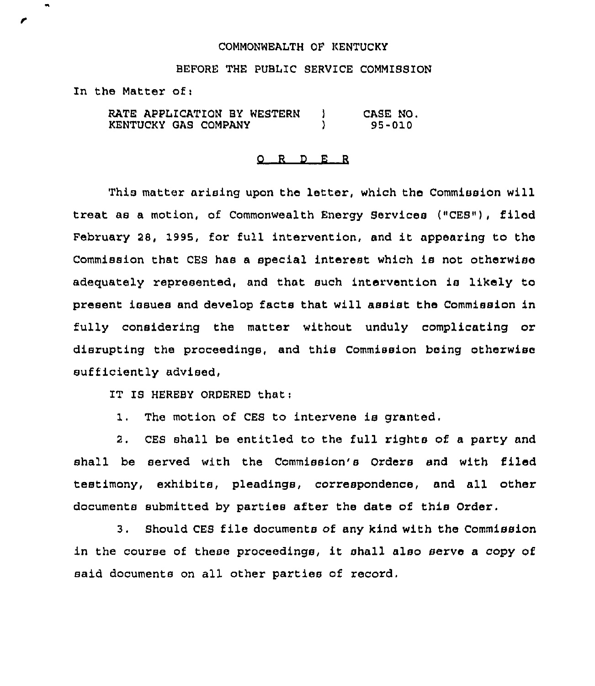## COMMONWEALTH OF KENTUCKY

## BEFORE THE PUBLIC SERVICE COMMISSION

In the Matter of:

RATE APPLICATION BY WESTERN | KENTUCKY GAS COMPANY ) CASE NO. 95-010

## 0 <sup>R</sup> <sup>D</sup> E <sup>R</sup>

This matter arising upon the letter, which the Commission will treat as a motion, of Commonwealth Energy Services ("CES"), filed February 28, 1995, for full intervention, and it appeaxing to the Commission that CES has a special interest which is not otherwise adequately represented, and that such intervention is likely to present issues and develop facts that will assist the Commission in fully considering the matter without unduly complicating or disrupting the proceedings, and this Commission being otherwise sufficiently advised,

IT IS HEREBY ORDERED that:

1. The motion of CES to intervene is granted.

2. CES shall be entitled to the full rights of a party and shall be served with the Commission's Orders and with filed testimony, exhibits, pleadings, correspondence, and all other documents submitted by parties after the date of this Order.

3. Should CES file documents of any kind with the Commission in the course of these proceedings, it shall also serve <sup>a</sup> copy of said documents on all other parties of record,